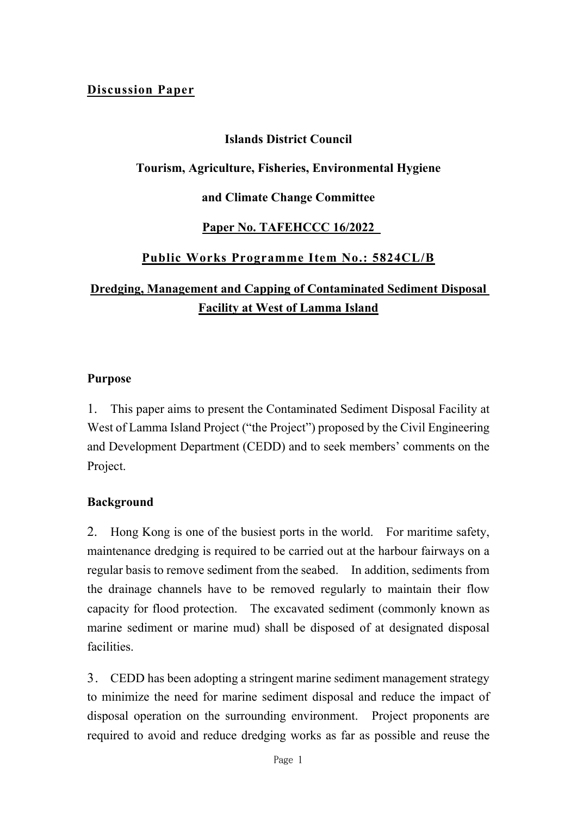### **Discussion Paper**

### **Islands District Council**

#### **Tourism, Agriculture, Fisheries, Environmental Hygiene**

#### **and Climate Change Committee**

# **Paper No. TAFEHCCC 16/2022**

# **Public Works Programme Item No.: 5824CL/B**

# **Dredging, Management and Capping of Contaminated Sediment Disposal Facility at West of Lamma Island**

#### **Purpose**

1. This paper aims to present the Contaminated Sediment Disposal Facility at West of Lamma Island Project ("the Project") proposed by the Civil Engineering and Development Department (CEDD) and to seek members' comments on the Project.

#### **Background**

2. Hong Kong is one of the busiest ports in the world. For maritime safety, maintenance dredging is required to be carried out at the harbour fairways on a regular basis to remove sediment from the seabed. In addition, sediments from the drainage channels have to be removed regularly to maintain their flow capacity for flood protection. The excavated sediment (commonly known as marine sediment or marine mud) shall be disposed of at designated disposal facilities.

3. CEDD has been adopting a stringent marine sediment management strategy to minimize the need for marine sediment disposal and reduce the impact of disposal operation on the surrounding environment. Project proponents are required to avoid and reduce dredging works as far as possible and reuse the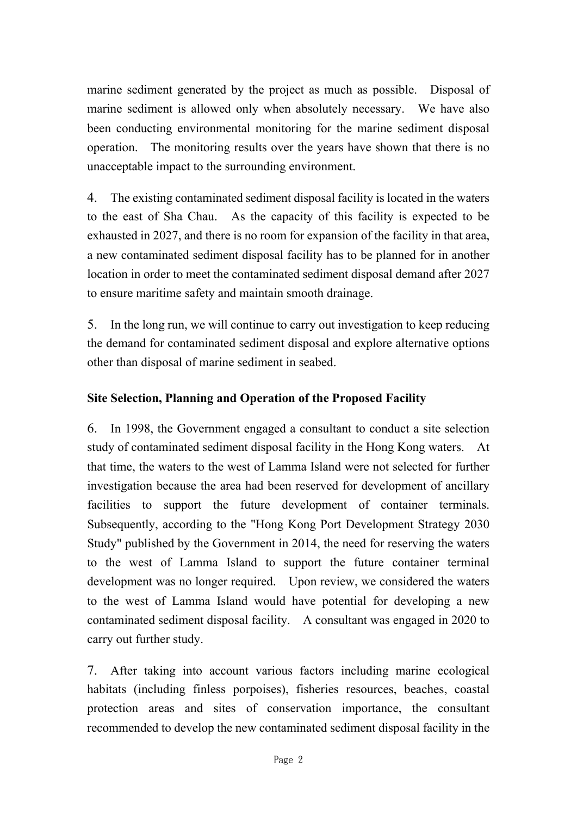marine sediment generated by the project as much as possible. Disposal of marine sediment is allowed only when absolutely necessary. We have also been conducting environmental monitoring for the marine sediment disposal operation. The monitoring results over the years have shown that there is no unacceptable impact to the surrounding environment.

4. The existing contaminated sediment disposal facility is located in the waters to the east of Sha Chau. As the capacity of this facility is expected to be exhausted in 2027, and there is no room for expansion of the facility in that area, a new contaminated sediment disposal facility has to be planned for in another location in order to meet the contaminated sediment disposal demand after 2027 to ensure maritime safety and maintain smooth drainage.

5. In the long run, we will continue to carry out investigation to keep reducing the demand for contaminated sediment disposal and explore alternative options other than disposal of marine sediment in seabed.

# **Site Selection, Planning and Operation of the Proposed Facility**

6. In 1998, the Government engaged a consultant to conduct a site selection study of contaminated sediment disposal facility in the Hong Kong waters. At that time, the waters to the west of Lamma Island were not selected for further investigation because the area had been reserved for development of ancillary facilities to support the future development of container terminals. Subsequently, according to the "Hong Kong Port Development Strategy 2030 Study" published by the Government in 2014, the need for reserving the waters to the west of Lamma Island to support the future container terminal development was no longer required. Upon review, we considered the waters to the west of Lamma Island would have potential for developing a new contaminated sediment disposal facility. A consultant was engaged in 2020 to carry out further study.

7. After taking into account various factors including marine ecological habitats (including finless porpoises), fisheries resources, beaches, coastal protection areas and sites of conservation importance, the consultant recommended to develop the new contaminated sediment disposal facility in the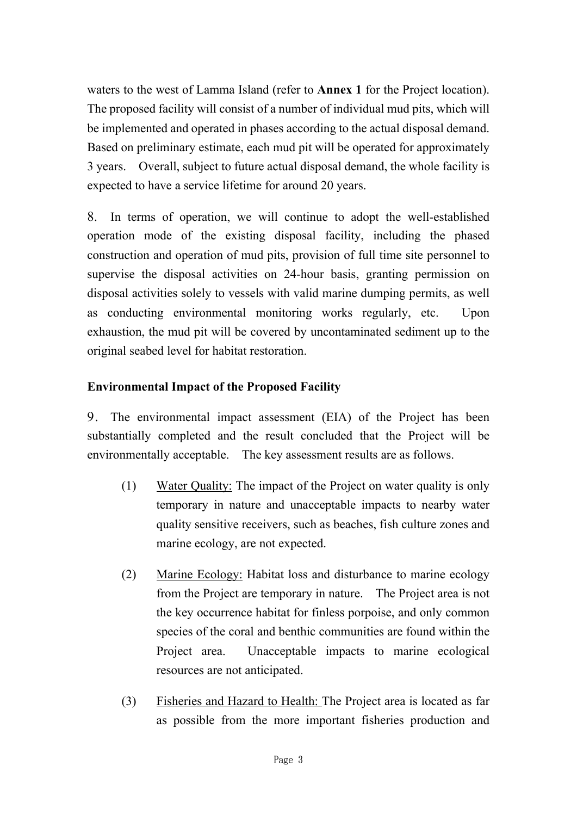waters to the west of Lamma Island (refer to **Annex 1** for the Project location). The proposed facility will consist of a number of individual mud pits, which will be implemented and operated in phases according to the actual disposal demand. Based on preliminary estimate, each mud pit will be operated for approximately 3 years. Overall, subject to future actual disposal demand, the whole facility is expected to have a service lifetime for around 20 years.

8. In terms of operation, we will continue to adopt the well-established operation mode of the existing disposal facility, including the phased construction and operation of mud pits, provision of full time site personnel to supervise the disposal activities on 24-hour basis, granting permission on disposal activities solely to vessels with valid marine dumping permits, as well as conducting environmental monitoring works regularly, etc. Upon exhaustion, the mud pit will be covered by uncontaminated sediment up to the original seabed level for habitat restoration.

# **Environmental Impact of the Proposed Facility**

9. The environmental impact assessment (EIA) of the Project has been substantially completed and the result concluded that the Project will be environmentally acceptable. The key assessment results are as follows.

- (1) Water Quality: The impact of the Project on water quality is only temporary in nature and unacceptable impacts to nearby water quality sensitive receivers, such as beaches, fish culture zones and marine ecology, are not expected.
- (2) Marine Ecology: Habitat loss and disturbance to marine ecology from the Project are temporary in nature. The Project area is not the key occurrence habitat for finless porpoise, and only common species of the coral and benthic communities are found within the Project area. Unacceptable impacts to marine ecological resources are not anticipated.
- (3) Fisheries and Hazard to Health: The Project area is located as far as possible from the more important fisheries production and